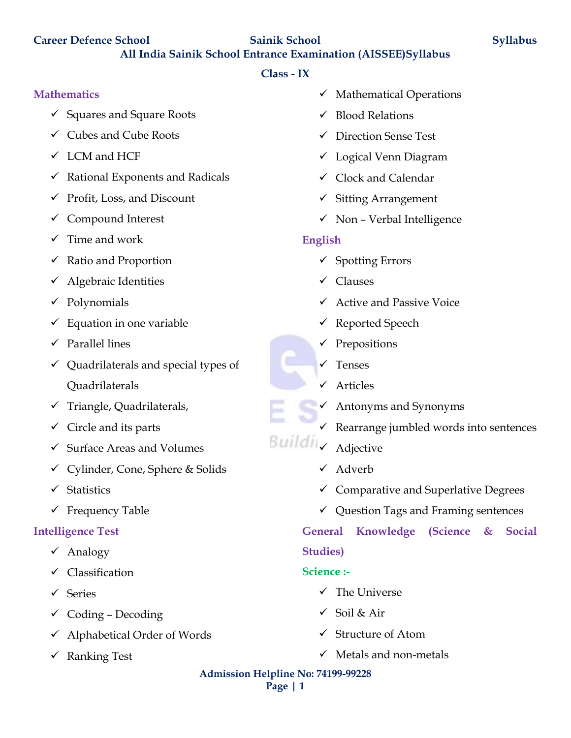# **Career Defence School Sainik School Syllabus**

**All India Sainik School Entrance Examination (AISSEE)Syllabus**

### **Class - IX**

#### **Mathematics**

- $\checkmark$  Squares and Square Roots
- $\checkmark$  Cubes and Cube Roots
- $\checkmark$  LCM and HCF
- $\checkmark$  Rational Exponents and Radicals
- $\checkmark$  Profit, Loss, and Discount
- $\checkmark$  Compound Interest
- $\checkmark$  Time and work
- $\checkmark$  Ratio and Proportion
- $\checkmark$  Algebraic Identities
- $\checkmark$  Polynomials
- $\checkmark$  Equation in one variable
- $\checkmark$  Parallel lines
- $\checkmark$  Quadrilaterals and special types of Quadrilaterals
- $\checkmark$  Triangle, Quadrilaterals,
- $\checkmark$  Circle and its parts
- $\checkmark$  Surface Areas and Volumes
- $\checkmark$  Cylinder, Cone, Sphere & Solids
- $\checkmark$  Statistics
- $\checkmark$  Frequency Table

### **Intelligence Test**

- $\checkmark$  Analogy
- Classification
- $\checkmark$  Series
- $\checkmark$  Coding Decoding
- $\checkmark$  Alphabetical Order of Words
- Ranking Test
- $\checkmark$  Mathematical Operations
- $\checkmark$  Blood Relations
- Direction Sense Test
- Logical Venn Diagram
- $\checkmark$  Clock and Calendar
- $\checkmark$  Sitting Arrangement
- $\checkmark$  Non Verbal Intelligence

### **English**

- $\checkmark$  Spotting Errors
- $\checkmark$  Clauses
- $\checkmark$  Active and Passive Voice
- $\checkmark$  Reported Speech
- $\checkmark$  Prepositions
- $\checkmark$  Tenses
- Articles
- $\checkmark$  Antonyms and Synonyms
- $\checkmark$  Rearrange jumbled words into sentences
- $Buildi\downarrow\checkmark$  Adjective
	- Adverb
	- $\checkmark$  Comparative and Superlative Degrees
	- $\checkmark$  Question Tags and Framing sentences

**General Knowledge (Science & Social Studies)** 

### **Science :-**

- $\checkmark$  The Universe
- Soil & Air
- $\checkmark$  Structure of Atom
- $\checkmark$  Metals and non-metals

#### **Admission Helpline No: 74199-99228**

#### **Page | 1**